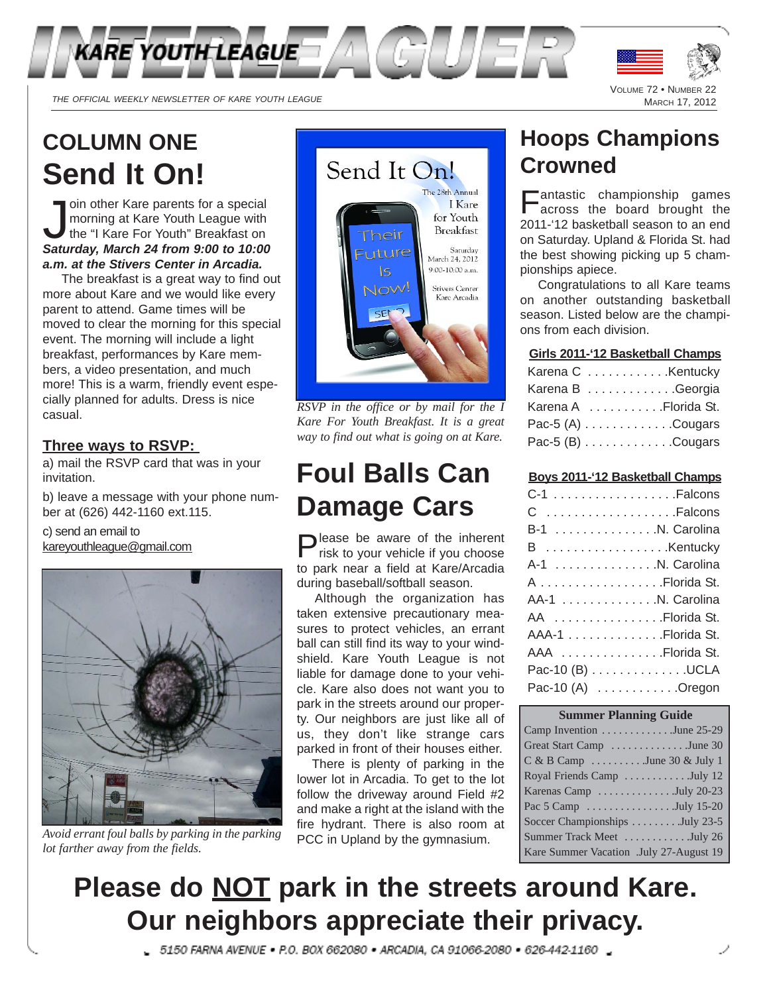

THE OFFICIAL WEEKLY NEWSLETTER OF KARE YOUTH LEAGUE

# **COLUMN ONE Send It On!**

Join other Kare parents for a special<br>morning at Kare Youth League with<br>the "I Kare For Youth" Breakfast on<br>Saturday, March 24 from 9:00 to 10:00 oin other Kare parents for a special morning at Kare Youth League with the "I Kare For Youth" Breakfast on *a.m. at the Stivers Center in Arcadia.*

The breakfast is a great way to find out more about Kare and we would like every parent to attend. Game times will be moved to clear the morning for this special event. The morning will include a light breakfast, performances by Kare members, a video presentation, and much more! This is a warm, friendly event especially planned for adults. Dress is nice casual.

#### **Three ways to RSVP:**

a) mail the RSVP card that was in your invitation.

b) leave a message with your phone number at (626) 442-1160 ext.115.

c) send an email to kareyouthleague@gmail.com



*Avoid errant foul balls by parking in the parking lot farther away from the fields.*



*RSVP in the office or by mail for the I Kare For Youth Breakfast. It is a great way to find out what is going on at Kare.*

# **Foul Balls Can Damage Cars**

Please be aware of the inherent risk to your vehicle if you choose to park near a field at Kare/Arcadia during baseball/softball season.

Although the organization has taken extensive precautionary measures to protect vehicles, an errant ball can still find its way to your windshield. Kare Youth League is not liable for damage done to your vehicle. Kare also does not want you to park in the streets around our property. Our neighbors are just like all of us, they don't like strange cars parked in front of their houses either.

There is plenty of parking in the lower lot in Arcadia. To get to the lot follow the driveway around Field #2 and make a right at the island with the fire hydrant. There is also room at PCC in Upland by the gymnasium.

### **Hoops Champions Crowned**

VOLUME 72 • NUMBER 22

Fantastic championship games across the board brought the 2011-'12 basketball season to an end on Saturday. Upland & Florida St. had the best showing picking up 5 championships apiece.

Congratulations to all Kare teams on another outstanding basketball season. Listed below are the champions from each division.

#### **Girls 2011-'12 Basketball Champs**

| Karena C Kentucky    |
|----------------------|
| Karena B Georgia     |
| Karena A Florida St. |
| Pac-5 $(A)$ Cougars  |
| Pac-5 $(B)$ Cougars  |

#### **Boys 2011-'12 Basketball Champs**

| C-1 Falcons         |
|---------------------|
| C Falcons           |
| B-1 N. Carolina     |
| B Kentucky          |
| A-1 N. Carolina     |
| A Florida St.       |
| AA-1 N. Carolina    |
| AA Florida St.      |
| AAA-1 Florida St.   |
| AAA Florida St.     |
| Pac-10 (B) UCLA     |
| Pac-10 $(A)$ Oregon |
|                     |

| <b>Summer Planning Guide</b>                        |
|-----------------------------------------------------|
| Camp Invention $\dots \dots \dots \dots$ June 25-29 |
| Great Start Camp June 30                            |
| $C & B$ Camp June 30 & July 1                       |
| Royal Friends Camp July 12                          |
| Karenas Camp July 20-23                             |
| Pac 5 Camp July 15-20                               |
| Soccer Championships July 23-5                      |
| Summer Track Meet July 26                           |
| Kare Summer Vacation .July 27-August 19             |

# **Please do NOT park in the streets around Kare. Our neighbors appreciate their privacy.**

\_ 5150 FARNA AVENUE = P.O. BOX 662080 = ARCADIA, CA 91066-2080 = 626-442-1160 \_